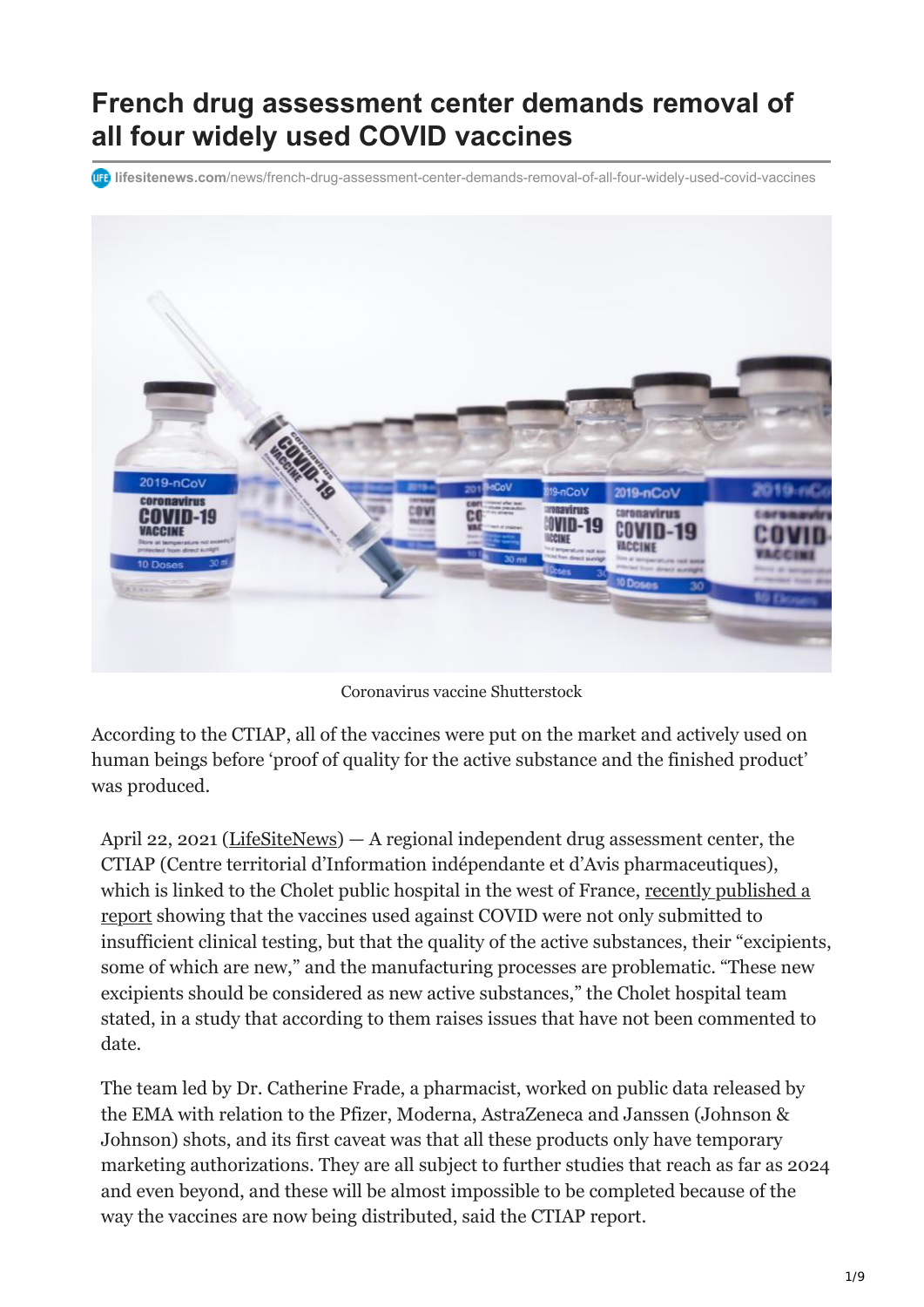# **French drug assessment center demands removal of all four widely used COVID vaccines**

**lifesitenews.com**[/news/french-drug-assessment-center-demands-removal-of-all-four-widely-used-covid-vaccines](https://www.lifesitenews.com/news/french-drug-assessment-center-demands-removal-of-all-four-widely-used-covid-vaccines)



Coronavirus vaccine Shutterstock

According to the CTIAP, all of the vaccines were put on the market and actively used on human beings before 'proof of quality for the active substance and the finished product' was produced.

April 22, 2021 ([LifeSiteNews\)](https://www.lifesitenews.com/) — A regional independent drug assessment center, the CTIAP (Centre territorial d'Information indépendante et d'Avis pharmaceutiques), [which is linked to the Cholet public hospital in the west of France, recently published a](https://ctiapchcholet.blogspot.com/2021/04/inedit-exclusif-vaccins-contre-la-covid.html) report showing that the vaccines used against COVID were not only submitted to insufficient clinical testing, but that the quality of the active substances, their "excipients, some of which are new," and the manufacturing processes are problematic. "These new excipients should be considered as new active substances," the Cholet hospital team stated, in a study that according to them raises issues that have not been commented to date.

The team led by Dr. Catherine Frade, a pharmacist, worked on public data released by the EMA with relation to the Pfizer, Moderna, AstraZeneca and Janssen (Johnson & Johnson) shots, and its first caveat was that all these products only have temporary marketing authorizations. They are all subject to further studies that reach as far as 2024 and even beyond, and these will be almost impossible to be completed because of the way the vaccines are now being distributed, said the CTIAP report.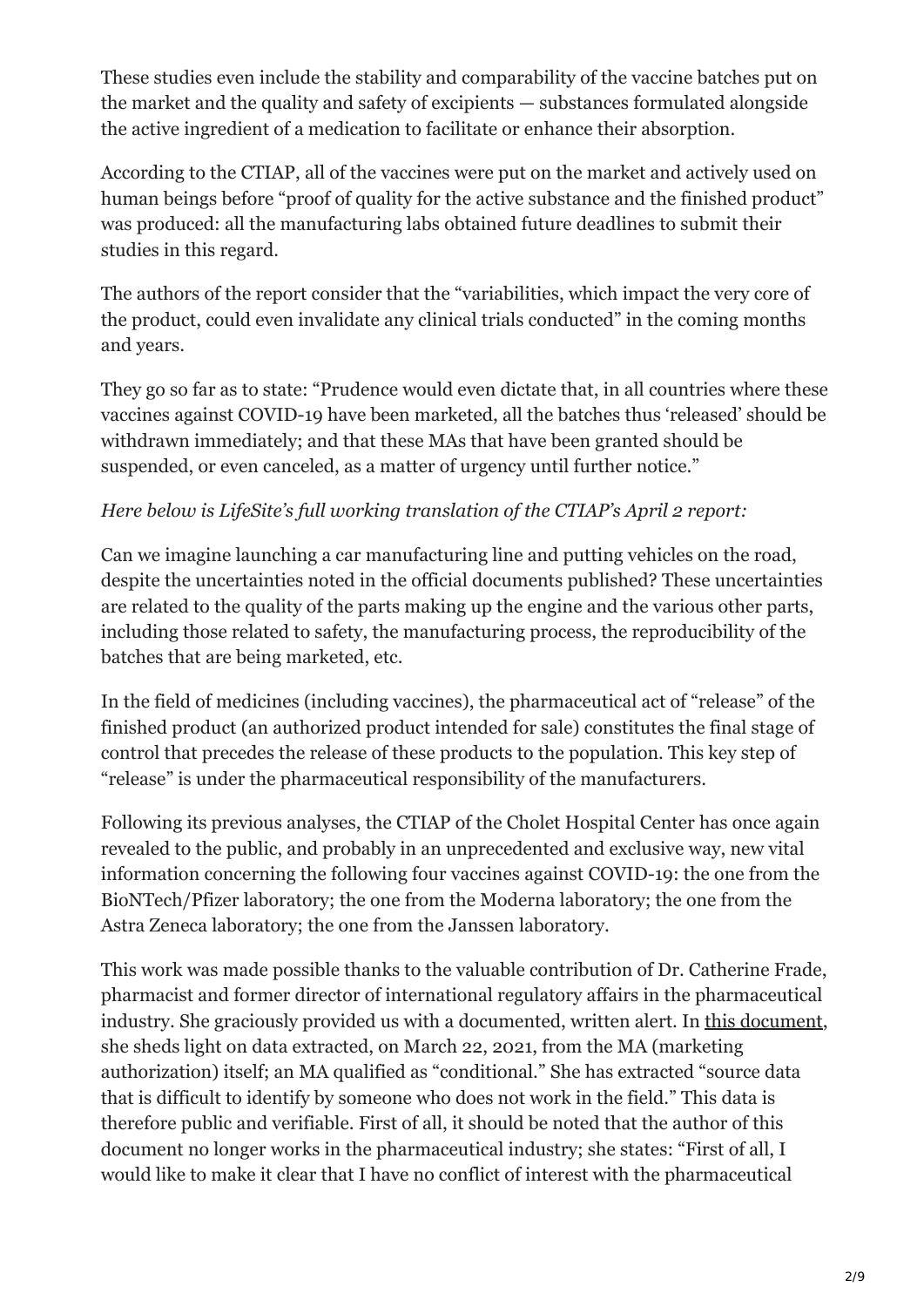These studies even include the stability and comparability of the vaccine batches put on the market and the quality and safety of excipients — substances formulated alongside the active ingredient of a medication to facilitate or enhance their absorption.

According to the CTIAP, all of the vaccines were put on the market and actively used on human beings before "proof of quality for the active substance and the finished product" was produced: all the manufacturing labs obtained future deadlines to submit their studies in this regard.

The authors of the report consider that the "variabilities, which impact the very core of the product, could even invalidate any clinical trials conducted" in the coming months and years.

They go so far as to state: "Prudence would even dictate that, in all countries where these vaccines against COVID-19 have been marketed, all the batches thus 'released' should be withdrawn immediately; and that these MAs that have been granted should be suspended, or even canceled, as a matter of urgency until further notice."

### *Here below is LifeSite's full working translation of the CTIAP's April 2 report:*

Can we imagine launching a car manufacturing line and putting vehicles on the road, despite the uncertainties noted in the official documents published? These uncertainties are related to the quality of the parts making up the engine and the various other parts, including those related to safety, the manufacturing process, the reproducibility of the batches that are being marketed, etc.

In the field of medicines (including vaccines), the pharmaceutical act of "release" of the finished product (an authorized product intended for sale) constitutes the final stage of control that precedes the release of these products to the population. This key step of "release" is under the pharmaceutical responsibility of the manufacturers.

Following its previous analyses, the CTIAP of the Cholet Hospital Center has once again revealed to the public, and probably in an unprecedented and exclusive way, new vital information concerning the following four vaccines against COVID-19: the one from the BioNTech/Pfizer laboratory; the one from the Moderna laboratory; the one from the Astra Zeneca laboratory; the one from the Janssen laboratory.

This work was made possible thanks to the valuable contribution of Dr. Catherine Frade, pharmacist and former director of international regulatory affairs in the pharmaceutical industry. She graciously provided us with a documented, written alert. In [this document](http://www.catherinefrade.com/blog/2021/04/01/eclairage-sur-les-donnees-publiques-europeennes-des-amm-conditionnelles-pour-les-4-vaccins-covid-19-31-mars-2021/), she sheds light on data extracted, on March 22, 2021, from the MA (marketing authorization) itself; an MA qualified as "conditional." She has extracted "source data that is difficult to identify by someone who does not work in the field." This data is therefore public and verifiable. First of all, it should be noted that the author of this document no longer works in the pharmaceutical industry; she states: "First of all, I would like to make it clear that I have no conflict of interest with the pharmaceutical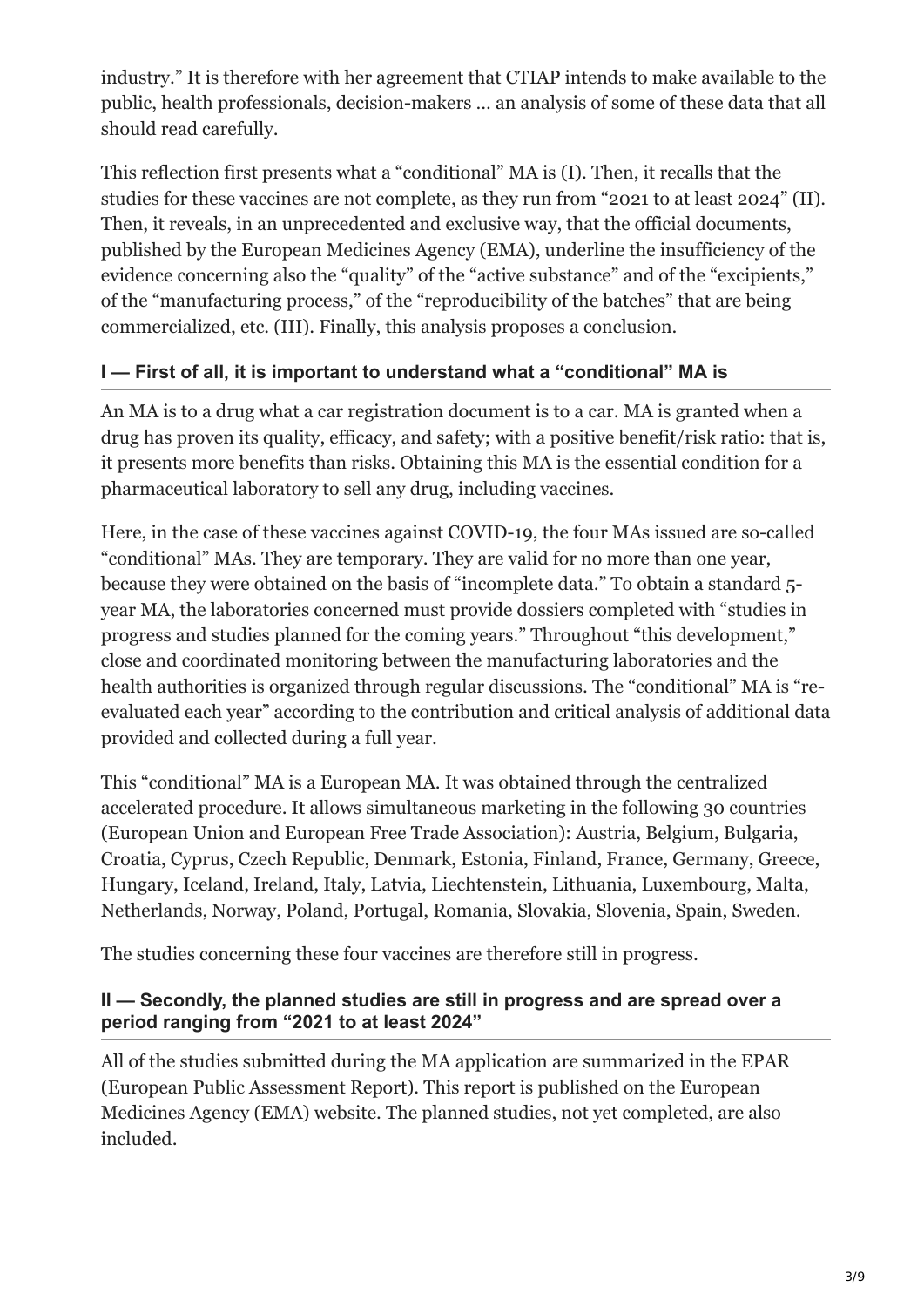industry." It is therefore with her agreement that CTIAP intends to make available to the public, health professionals, decision-makers … an analysis of some of these data that all should read carefully.

This reflection first presents what a "conditional" MA is (I). Then, it recalls that the studies for these vaccines are not complete, as they run from "2021 to at least 2024" (II). Then, it reveals, in an unprecedented and exclusive way, that the official documents, published by the European Medicines Agency (EMA), underline the insufficiency of the evidence concerning also the "quality" of the "active substance" and of the "excipients," of the "manufacturing process," of the "reproducibility of the batches" that are being commercialized, etc. (III). Finally, this analysis proposes a conclusion.

### **I — First of all, it is important to understand what a "conditional" MA is**

An MA is to a drug what a car registration document is to a car. MA is granted when a drug has proven its quality, efficacy, and safety; with a positive benefit/risk ratio: that is, it presents more benefits than risks. Obtaining this MA is the essential condition for a pharmaceutical laboratory to sell any drug, including vaccines.

Here, in the case of these vaccines against COVID-19, the four MAs issued are so-called "conditional" MAs. They are temporary. They are valid for no more than one year, because they were obtained on the basis of "incomplete data." To obtain a standard 5 year MA, the laboratories concerned must provide dossiers completed with "studies in progress and studies planned for the coming years." Throughout "this development," close and coordinated monitoring between the manufacturing laboratories and the health authorities is organized through regular discussions. The "conditional" MA is "reevaluated each year" according to the contribution and critical analysis of additional data provided and collected during a full year.

This "conditional" MA is a European MA. It was obtained through the centralized accelerated procedure. It allows simultaneous marketing in the following 30 countries (European Union and European Free Trade Association): Austria, Belgium, Bulgaria, Croatia, Cyprus, Czech Republic, Denmark, Estonia, Finland, France, Germany, Greece, Hungary, Iceland, Ireland, Italy, Latvia, Liechtenstein, Lithuania, Luxembourg, Malta, Netherlands, Norway, Poland, Portugal, Romania, Slovakia, Slovenia, Spain, Sweden.

The studies concerning these four vaccines are therefore still in progress.

#### **II — Secondly, the planned studies are still in progress and are spread over a period ranging from "2021 to at least 2024"**

All of the studies submitted during the MA application are summarized in the EPAR (European Public Assessment Report). This report is published on the European Medicines Agency (EMA) website. The planned studies, not yet completed, are also included.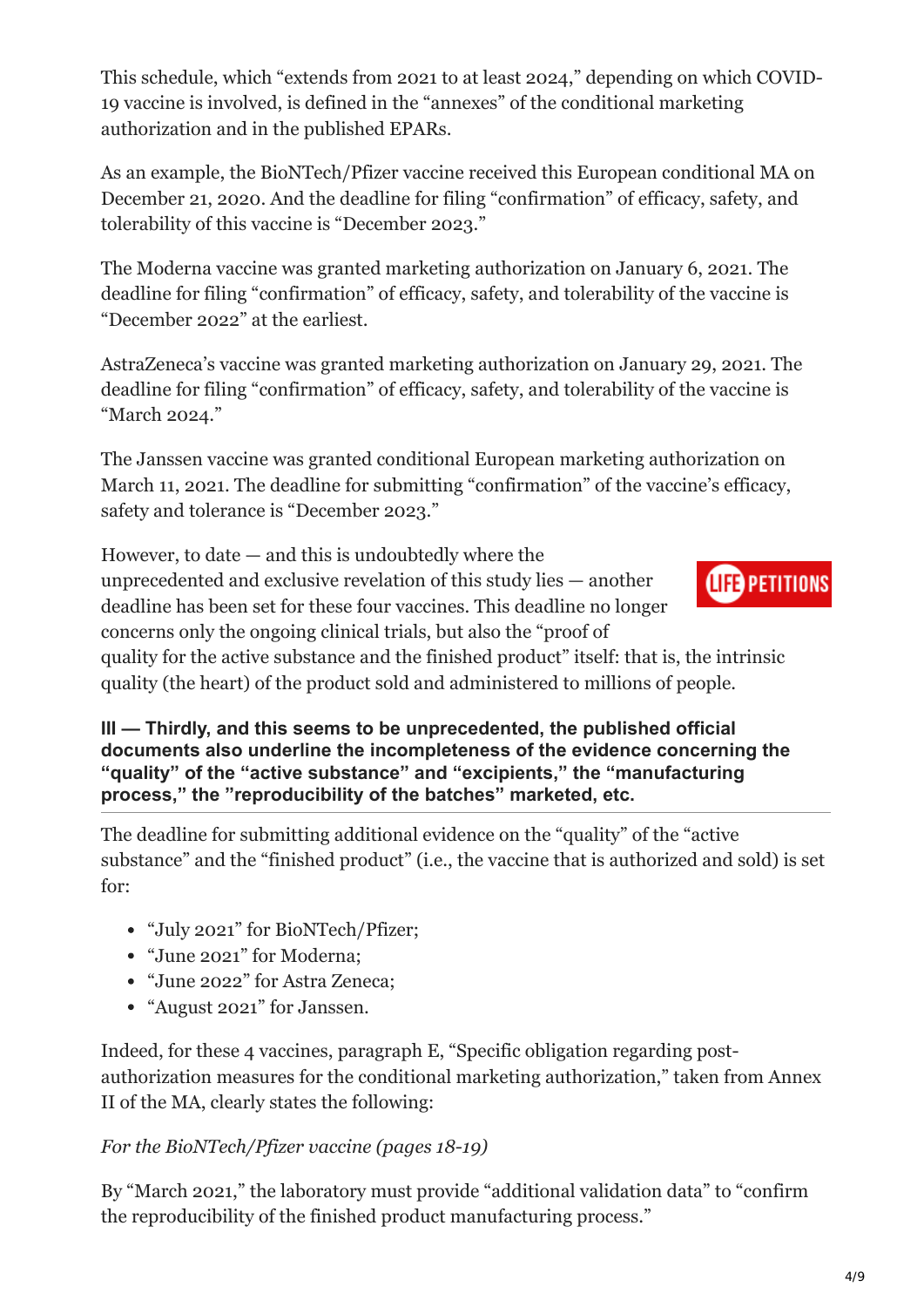This schedule, which "extends from 2021 to at least 2024," depending on which COVID-19 vaccine is involved, is defined in the "annexes" of the conditional marketing authorization and in the published EPARs.

As an example, the BioNTech/Pfizer vaccine received this European conditional MA on December 21, 2020. And the deadline for filing "confirmation" of efficacy, safety, and tolerability of this vaccine is "December 2023."

The Moderna vaccine was granted marketing authorization on January 6, 2021. The deadline for filing "confirmation" of efficacy, safety, and tolerability of the vaccine is "December 2022" at the earliest.

AstraZeneca's vaccine was granted marketing authorization on January 29, 2021. The deadline for filing "confirmation" of efficacy, safety, and tolerability of the vaccine is "March 2024."

The Janssen vaccine was granted conditional European marketing authorization on March 11, 2021. The deadline for submitting "confirmation" of the vaccine's efficacy, safety and tolerance is "December 2023."

However, to date  $-$  and this is undoubtedly where the

unprecedented and exclusive revelation of this study lies — another deadline has been set for these four vaccines. This deadline no longer concerns only the ongoing clinical trials, but also the "proof of



quality for the active substance and the finished product" itself: that is, the intrinsic quality (the heart) of the product sold and administered to millions of people.

**III — Thirdly, and this seems to be unprecedented, the published official documents also underline the incompleteness of the evidence concerning the "quality" of the "active substance" and "excipients," the "manufacturing process," the "reproducibility of the batches" marketed, etc.**

The deadline for submitting additional evidence on the "quality" of the "active substance" and the "finished product" (i.e., the vaccine that is authorized and sold) is set for:

- "July 2021" for BioNTech/Pfizer;
- "June 2021" for Moderna;
- "June 2022" for Astra Zeneca;
- "August 2021" for Janssen.

Indeed, for these 4 vaccines, paragraph E, "Specific obligation regarding postauthorization measures for the conditional marketing authorization," taken from Annex II of the MA, clearly states the following:

## *For the BioNTech/Pfizer vaccine (pages 18-19)*

By "March 2021," the laboratory must provide "additional validation data" to "confirm the reproducibility of the finished product manufacturing process."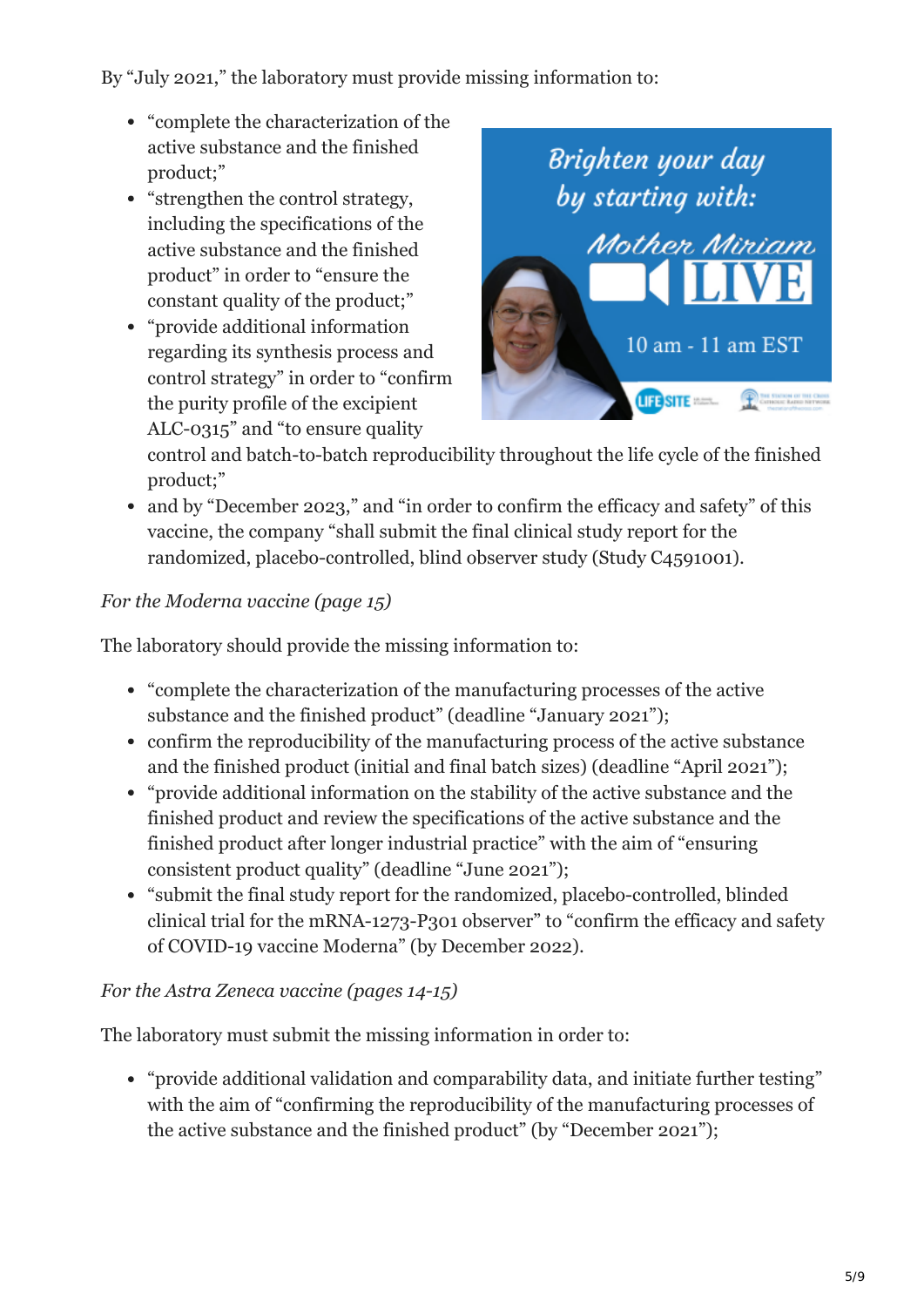By "July 2021," the laboratory must provide missing information to:

- "complete the characterization of the active substance and the finished product;"
- "strengthen the control strategy, including the specifications of the active substance and the finished product" in order to "ensure the constant quality of the product;"
- "provide additional information regarding its synthesis process and control strategy" in order to "confirm the purity profile of the excipient ALC-0315" and "to ensure quality



control and batch-to-batch reproducibility throughout the life cycle of the finished product;"

• and by "December 2023," and "in order to confirm the efficacy and safety" of this vaccine, the company "shall submit the final clinical study report for the randomized, placebo-controlled, blind observer study (Study C4591001).

# *For the Moderna vaccine (page 15)*

The laboratory should provide the missing information to:

- "complete the characterization of the manufacturing processes of the active substance and the finished product" (deadline "January 2021");
- confirm the reproducibility of the manufacturing process of the active substance and the finished product (initial and final batch sizes) (deadline "April 2021");
- "provide additional information on the stability of the active substance and the finished product and review the specifications of the active substance and the finished product after longer industrial practice" with the aim of "ensuring consistent product quality" (deadline "June 2021");
- "submit the final study report for the randomized, placebo-controlled, blinded clinical trial for the mRNA-1273-P301 observer" to "confirm the efficacy and safety of COVID-19 vaccine Moderna" (by December 2022).

## *For the Astra Zeneca vaccine (pages 14-15)*

The laboratory must submit the missing information in order to:

"provide additional validation and comparability data, and initiate further testing" with the aim of "confirming the reproducibility of the manufacturing processes of the active substance and the finished product" (by "December 2021");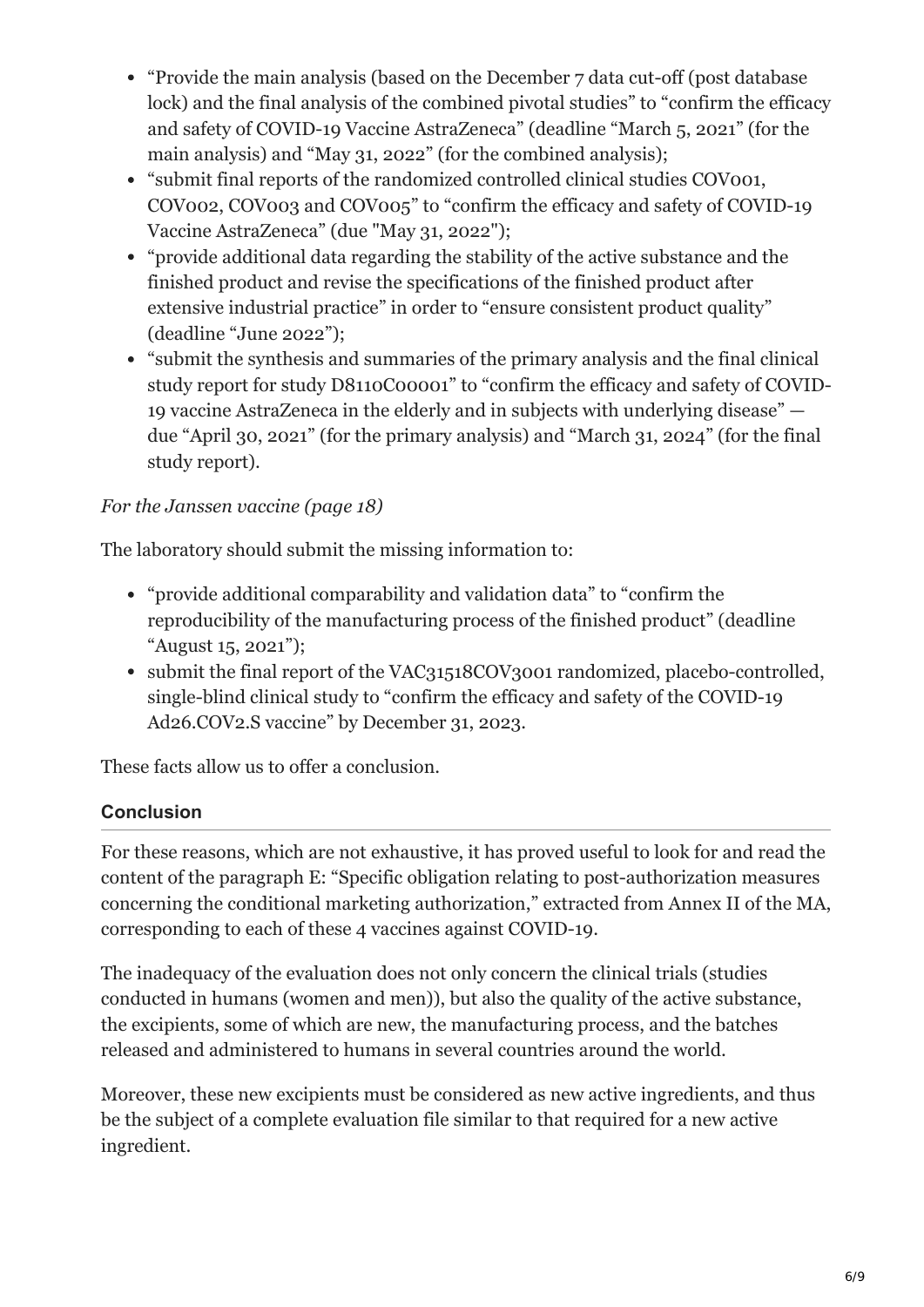- "Provide the main analysis (based on the December 7 data cut-off (post database lock) and the final analysis of the combined pivotal studies" to "confirm the efficacy and safety of COVID-19 Vaccine AstraZeneca" (deadline "March 5, 2021" (for the main analysis) and "May 31, 2022" (for the combined analysis);
- "submit final reports of the randomized controlled clinical studies COV001, COV002, COV003 and COV005" to "confirm the efficacy and safety of COVID-19 Vaccine AstraZeneca" (due "May 31, 2022");
- "provide additional data regarding the stability of the active substance and the finished product and revise the specifications of the finished product after extensive industrial practice" in order to "ensure consistent product quality" (deadline "June 2022");
- "submit the synthesis and summaries of the primary analysis and the final clinical study report for study D8110C00001" to "confirm the efficacy and safety of COVID-19 vaccine AstraZeneca in the elderly and in subjects with underlying disease" due "April 30, 2021" (for the primary analysis) and "March 31, 2024" (for the final study report).

# *For the Janssen vaccine (page 18)*

The laboratory should submit the missing information to:

- "provide additional comparability and validation data" to "confirm the reproducibility of the manufacturing process of the finished product" (deadline "August 15, 2021");
- submit the final report of the VAC31518COV3001 randomized, placebo-controlled, single-blind clinical study to "confirm the efficacy and safety of the COVID-19 Ad26.COV2.S vaccine" by December 31, 2023.

These facts allow us to offer a conclusion.

# **Conclusion**

For these reasons, which are not exhaustive, it has proved useful to look for and read the content of the paragraph E: "Specific obligation relating to post-authorization measures concerning the conditional marketing authorization," extracted from Annex II of the MA, corresponding to each of these 4 vaccines against COVID-19.

The inadequacy of the evaluation does not only concern the clinical trials (studies conducted in humans (women and men)), but also the quality of the active substance, the excipients, some of which are new, the manufacturing process, and the batches released and administered to humans in several countries around the world.

Moreover, these new excipients must be considered as new active ingredients, and thus be the subject of a complete evaluation file similar to that required for a new active ingredient.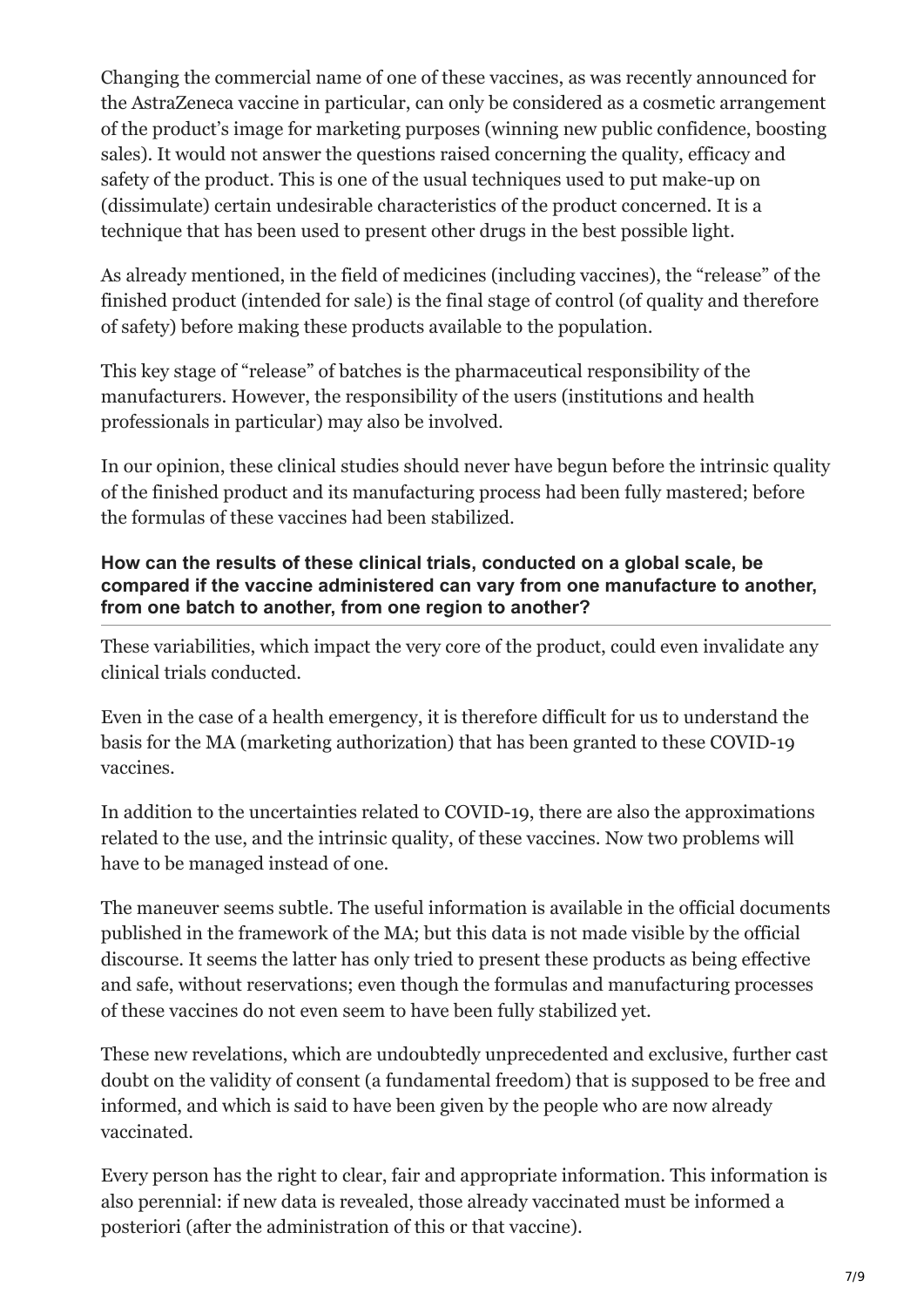Changing the commercial name of one of these vaccines, as was recently announced for the AstraZeneca vaccine in particular, can only be considered as a cosmetic arrangement of the product's image for marketing purposes (winning new public confidence, boosting sales). It would not answer the questions raised concerning the quality, efficacy and safety of the product. This is one of the usual techniques used to put make-up on (dissimulate) certain undesirable characteristics of the product concerned. It is a technique that has been used to present other drugs in the best possible light.

As already mentioned, in the field of medicines (including vaccines), the "release" of the finished product (intended for sale) is the final stage of control (of quality and therefore of safety) before making these products available to the population.

This key stage of "release" of batches is the pharmaceutical responsibility of the manufacturers. However, the responsibility of the users (institutions and health professionals in particular) may also be involved.

In our opinion, these clinical studies should never have begun before the intrinsic quality of the finished product and its manufacturing process had been fully mastered; before the formulas of these vaccines had been stabilized.

#### **How can the results of these clinical trials, conducted on a global scale, be compared if the vaccine administered can vary from one manufacture to another, from one batch to another, from one region to another?**

These variabilities, which impact the very core of the product, could even invalidate any clinical trials conducted.

Even in the case of a health emergency, it is therefore difficult for us to understand the basis for the MA (marketing authorization) that has been granted to these COVID-19 vaccines.

In addition to the uncertainties related to COVID-19, there are also the approximations related to the use, and the intrinsic quality, of these vaccines. Now two problems will have to be managed instead of one.

The maneuver seems subtle. The useful information is available in the official documents published in the framework of the MA; but this data is not made visible by the official discourse. It seems the latter has only tried to present these products as being effective and safe, without reservations; even though the formulas and manufacturing processes of these vaccines do not even seem to have been fully stabilized yet.

These new revelations, which are undoubtedly unprecedented and exclusive, further cast doubt on the validity of consent (a fundamental freedom) that is supposed to be free and informed, and which is said to have been given by the people who are now already vaccinated.

Every person has the right to clear, fair and appropriate information. This information is also perennial: if new data is revealed, those already vaccinated must be informed a posteriori (after the administration of this or that vaccine).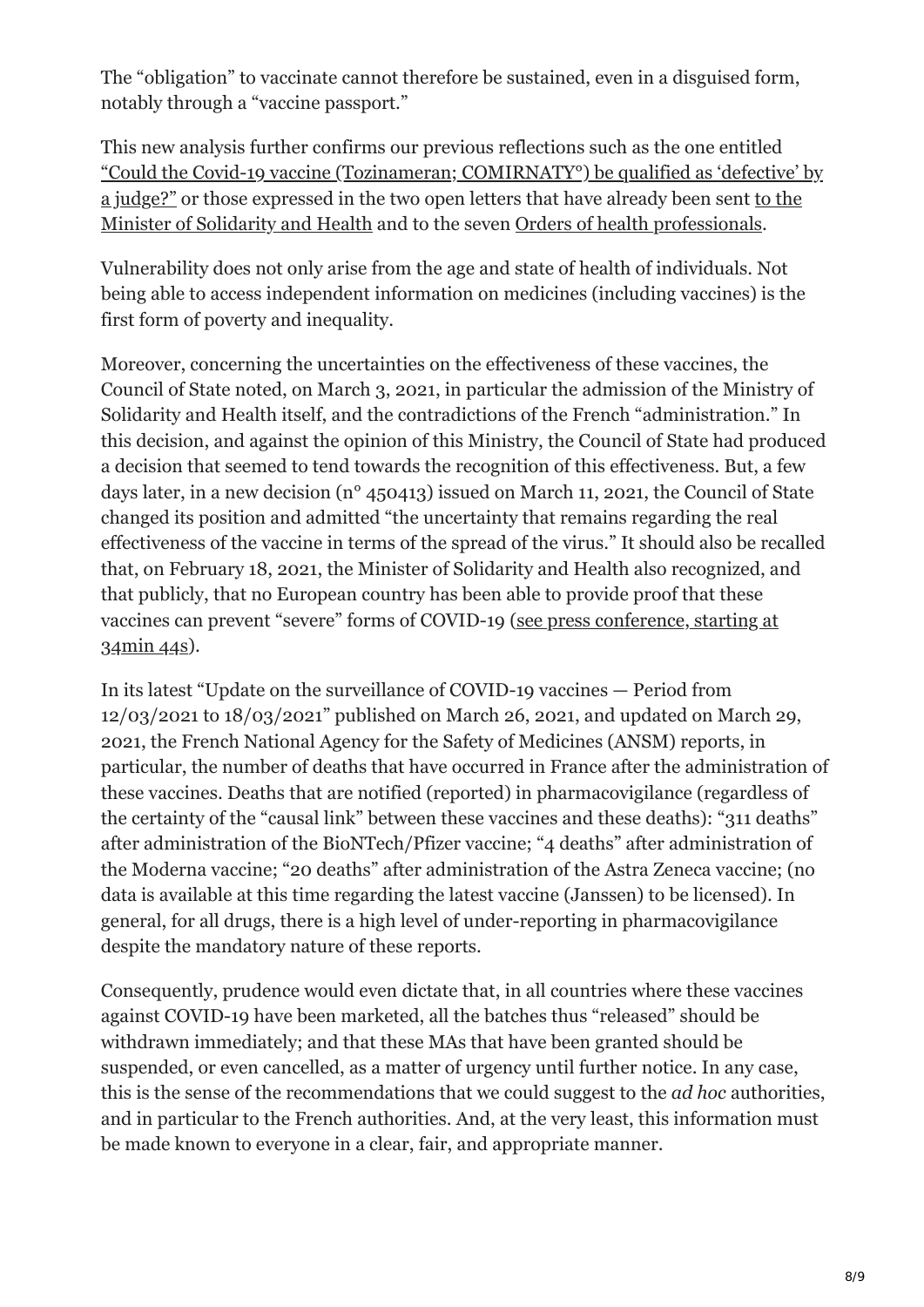The "obligation" to vaccinate cannot therefore be sustained, even in a disguised form, notably through a "vaccine passport."

This new analysis further confirms our previous reflections such as the one entitled ["Could the Covid-19 vaccine \(Tozinameran; COMIRNATY°\) be qualified as 'defective' by](https://ctiapchcholet.blogspot.com/2021/01/le-vaccin-contre-la-covid-19.html) [a judge?" or those expressed in the two open letters that have already been sent to the](https://ctiapchcholet.blogspot.com/2021/03/covid-19-projet-de-vaccination.html) Minister of Solidarity and Health and to the seven [Orders of health professionals](https://ctiapchcholet.blogspot.com/2021/03/lettre-ouverte-vaccination-des.html).

Vulnerability does not only arise from the age and state of health of individuals. Not being able to access independent information on medicines (including vaccines) is the first form of poverty and inequality.

Moreover, concerning the uncertainties on the effectiveness of these vaccines, the Council of State noted, on March 3, 2021, in particular the admission of the Ministry of Solidarity and Health itself, and the contradictions of the French "administration." In this decision, and against the opinion of this Ministry, the Council of State had produced a decision that seemed to tend towards the recognition of this effectiveness. But, a few days later, in a new decision (n° 450413) issued on March 11, 2021, the Council of State changed its position and admitted "the uncertainty that remains regarding the real effectiveness of the vaccine in terms of the spread of the virus." It should also be recalled that, on February 18, 2021, the Minister of Solidarity and Health also recognized, and that publicly, that no European country has been able to provide proof that these [vaccines can prevent "severe" forms of COVID-19 \(see press conference, starting at](https://www.youtube.com/watch?v=tCtOUlcJJow) 34min 44s).

In its latest "Update on the surveillance of COVID-19 vaccines — Period from 12/03/2021 to 18/03/2021" published on March 26, 2021, and updated on March 29, 2021, the French National Agency for the Safety of Medicines (ANSM) reports, in particular, the number of deaths that have occurred in France after the administration of these vaccines. Deaths that are notified (reported) in pharmacovigilance (regardless of the certainty of the "causal link" between these vaccines and these deaths): "311 deaths" after administration of the BioNTech/Pfizer vaccine; "4 deaths" after administration of the Moderna vaccine; "20 deaths" after administration of the Astra Zeneca vaccine; (no data is available at this time regarding the latest vaccine (Janssen) to be licensed). In general, for all drugs, there is a high level of under-reporting in pharmacovigilance despite the mandatory nature of these reports.

Consequently, prudence would even dictate that, in all countries where these vaccines against COVID-19 have been marketed, all the batches thus "released" should be withdrawn immediately; and that these MAs that have been granted should be suspended, or even cancelled, as a matter of urgency until further notice. In any case, this is the sense of the recommendations that we could suggest to the *ad hoc* authorities, and in particular to the French authorities. And, at the very least, this information must be made known to everyone in a clear, fair, and appropriate manner.